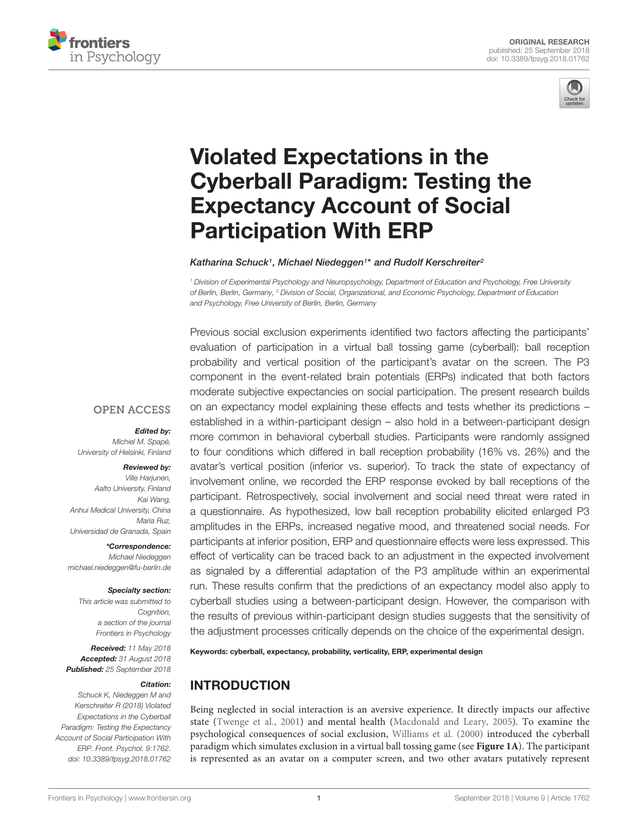



# Violated Expectations in the [Cyberball Paradigm: Testing the](https://www.frontiersin.org/articles/10.3389/fpsyg.2018.01762/full) Expectancy Account of Social Participation With ERP

#### [Katharina Schuck](http://loop.frontiersin.org/people/595133/overview)1, [Michael Niedeggen](http://loop.frontiersin.org/people/182691/overview)1\* and [Rudolf Kerschreiter](http://loop.frontiersin.org/people/606839/overview)2

<sup>1</sup> Division of Experimental Psychology and Neuropsychology, Department of Education and Psychology, Free University of Berlin, Berlin, Germany, <sup>2</sup> Division of Social, Organizational, and Economic Psychology, Department of Education and Psychology, Free University of Berlin, Berlin, Germany

Previous social exclusion experiments identified two factors affecting the participants' evaluation of participation in a virtual ball tossing game (cyberball): ball reception probability and vertical position of the participant's avatar on the screen. The P3 component in the event-related brain potentials (ERPs) indicated that both factors moderate subjective expectancies on social participation. The present research builds on an expectancy model explaining these effects and tests whether its predictions – established in a within-participant design – also hold in a between-participant design more common in behavioral cyberball studies. Participants were randomly assigned to four conditions which differed in ball reception probability (16% vs. 26%) and the avatar's vertical position (inferior vs. superior). To track the state of expectancy of involvement online, we recorded the ERP response evoked by ball receptions of the participant. Retrospectively, social involvement and social need threat were rated in a questionnaire. As hypothesized, low ball reception probability elicited enlarged P3 amplitudes in the ERPs, increased negative mood, and threatened social needs. For participants at inferior position, ERP and questionnaire effects were less expressed. This effect of verticality can be traced back to an adjustment in the expected involvement as signaled by a differential adaptation of the P3 amplitude within an experimental run. These results confirm that the predictions of an expectancy model also apply to cyberball studies using a between-participant design. However, the comparison with the results of previous within-participant design studies suggests that the sensitivity of the adjustment processes critically depends on the choice of the experimental design.

Keywords: cyberball, expectancy, probability, verticality, ERP, experimental design

## INTRODUCTION

Being neglected in social interaction is an aversive experience. It directly impacts our affective state [\(Twenge et al.,](#page-11-0) [2001\)](#page-11-0) and mental health [\(Macdonald and Leary,](#page-10-0) [2005\)](#page-10-0). To examine the psychological consequences of social exclusion, [Williams et al.](#page-11-1) [\(2000\)](#page-11-1) introduced the cyberball paradigm which simulates exclusion in a virtual ball tossing game (see **[Figure 1A](#page-1-0)**). The participant is represented as an avatar on a computer screen, and two other avatars putatively represent

#### **OPEN ACCESS**

#### Edited by:

Michiel M. Spapé, University of Helsinki, Finland

#### Reviewed by:

Ville Harjunen, Aalto University, Finland Kai Wang, Anhui Medical University, China Maria Ruz, Universidad de Granada, Spain

\*Correspondence: Michael Niedeggen michael.niedeggen@fu-berlin.de

#### Specialty section:

This article was submitted to Cognition, a section of the journal Frontiers in Psychology

Received: 11 May 2018 Accepted: 31 August 2018 Published: 25 September 2018

#### Citation:

Schuck K, Niedeggen M and Kerschreiter R (2018) Violated Expectations in the Cyberball Paradigm: Testing the Expectancy Account of Social Participation With ERP. Front. Psychol. 9:1762. doi: [10.3389/fpsyg.2018.01762](https://doi.org/10.3389/fpsyg.2018.01762)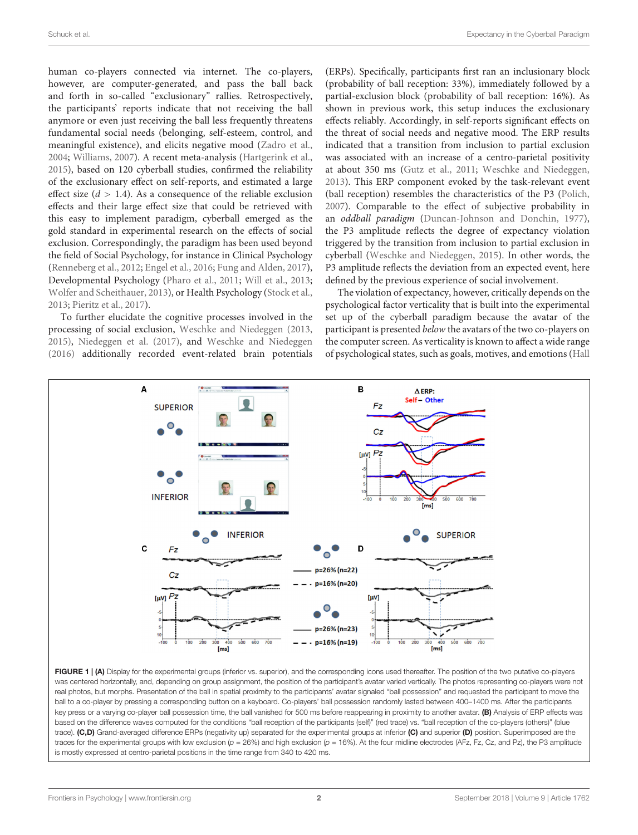human co-players connected via internet. The co-players, however, are computer-generated, and pass the ball back and forth in so-called "exclusionary" rallies. Retrospectively, the participants' reports indicate that not receiving the ball anymore or even just receiving the ball less frequently threatens fundamental social needs (belonging, self-esteem, control, and meaningful existence), and elicits negative mood [\(Zadro et al.,](#page-11-2) [2004;](#page-11-2) [Williams,](#page-11-3) [2007\)](#page-11-3). A recent meta-analysis [\(Hartgerink et al.,](#page-10-1) [2015\)](#page-10-1), based on 120 cyberball studies, confirmed the reliability of the exclusionary effect on self-reports, and estimated a large effect size  $(d > 1.4)$ . As a consequence of the reliable exclusion effects and their large effect size that could be retrieved with this easy to implement paradigm, cyberball emerged as the gold standard in experimental research on the effects of social exclusion. Correspondingly, the paradigm has been used beyond the field of Social Psychology, for instance in Clinical Psychology [\(Renneberg et al.,](#page-10-2) [2012;](#page-10-2) [Engel et al.,](#page-10-3) [2016;](#page-10-3) [Fung and Alden,](#page-10-4) [2017\)](#page-10-4), Developmental Psychology [\(Pharo et al.,](#page-10-5) [2011;](#page-10-5) [Will et al.,](#page-11-4) [2013;](#page-11-4) [Wolfer and Scheithauer,](#page-11-5) [2013\)](#page-11-5), or Health Psychology [\(Stock et al.,](#page-11-6) [2013;](#page-11-6) [Pieritz et al.,](#page-10-6) [2017\)](#page-10-6).

To further elucidate the cognitive processes involved in the processing of social exclusion, [Weschke and Niedeggen](#page-11-7) [\(2013,](#page-11-7) [2015\)](#page-11-8), [Niedeggen et al.](#page-10-7) [\(2017\)](#page-10-7), and [Weschke and Niedeggen](#page-11-9) [\(2016\)](#page-11-9) additionally recorded event-related brain potentials (ERPs). Specifically, participants first ran an inclusionary block (probability of ball reception: 33%), immediately followed by a partial-exclusion block (probability of ball reception: 16%). As shown in previous work, this setup induces the exclusionary effects reliably. Accordingly, in self-reports significant effects on the threat of social needs and negative mood. The ERP results indicated that a transition from inclusion to partial exclusion was associated with an increase of a centro-parietal positivity at about 350 ms [\(Gutz et al.,](#page-10-8) [2011;](#page-10-8) [Weschke and Niedeggen,](#page-11-7) [2013\)](#page-11-7). This ERP component evoked by the task-relevant event (ball reception) resembles the characteristics of the P3 [\(Polich,](#page-10-9) [2007\)](#page-10-9). Comparable to the effect of subjective probability in an oddball paradigm [\(Duncan-Johnson and Donchin,](#page-10-10) [1977\)](#page-10-10), the P3 amplitude reflects the degree of expectancy violation triggered by the transition from inclusion to partial exclusion in cyberball [\(Weschke and Niedeggen,](#page-11-8) [2015\)](#page-11-8). In other words, the P3 amplitude reflects the deviation from an expected event, here defined by the previous experience of social involvement.

The violation of expectancy, however, critically depends on the psychological factor verticality that is built into the experimental set up of the cyberball paradigm because the avatar of the participant is presented below the avatars of the two co-players on the computer screen. As verticality is known to affect a wide range of psychological states, such as goals, motives, and emotions [\(Hall](#page-10-11)



<span id="page-1-0"></span>FIGURE 1 | (A) Display for the experimental groups (inferior vs. superior), and the corresponding icons used thereafter. The position of the two putative co-players was centered horizontally, and, depending on group assignment, the position of the participant's avatar varied vertically. The photos representing co-players were not real photos, but morphs. Presentation of the ball in spatial proximity to the participants' avatar signaled "ball possession" and requested the participant to move the ball to a co-player by pressing a corresponding button on a keyboard. Co-players' ball possession randomly lasted between 400–1400 ms. After the participants key press or a varying co-player ball possession time, the ball vanished for 500 ms before reappearing in proximity to another avatar. (B) Analysis of ERP effects was based on the difference waves computed for the conditions "ball reception of the participants (self)" (red trace) vs. "ball reception of the co-players (others)" (blue trace). (C,D) Grand-averaged difference ERPs (negativity up) separated for the experimental groups at inferior (C) and superior (D) position. Superimposed are the traces for the experimental groups with low exclusion ( $p = 26\%$ ) and high exclusion ( $p = 16\%$ ). At the four midline electrodes (AFz, Fz, Cz, and Pz), the P3 amplitude is mostly expressed at centro-parietal positions in the time range from 340 to 420 ms.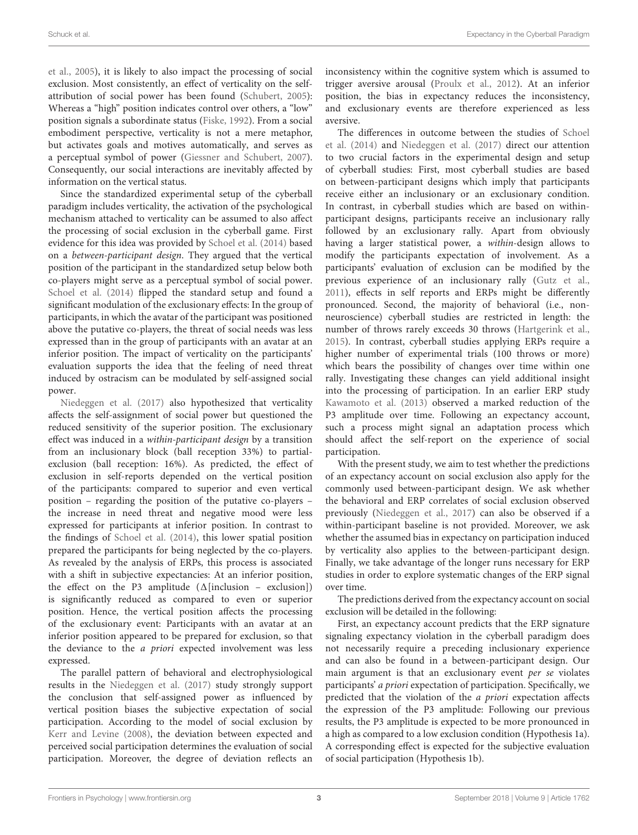[et al.,](#page-10-11) [2005\)](#page-10-11), it is likely to also impact the processing of social exclusion. Most consistently, an effect of verticality on the selfattribution of social power has been found [\(Schubert,](#page-11-10) [2005\)](#page-11-10): Whereas a "high" position indicates control over others, a "low" position signals a subordinate status [\(Fiske,](#page-10-12) [1992\)](#page-10-12). From a social embodiment perspective, verticality is not a mere metaphor, but activates goals and motives automatically, and serves as a perceptual symbol of power [\(Giessner and Schubert,](#page-10-13) [2007\)](#page-10-13). Consequently, our social interactions are inevitably affected by information on the vertical status.

Since the standardized experimental setup of the cyberball paradigm includes verticality, the activation of the psychological mechanism attached to verticality can be assumed to also affect the processing of social exclusion in the cyberball game. First evidence for this idea was provided by [Schoel et al.](#page-11-11) [\(2014\)](#page-11-11) based on a between-participant design. They argued that the vertical position of the participant in the standardized setup below both co-players might serve as a perceptual symbol of social power. [Schoel et al.](#page-11-11) [\(2014\)](#page-11-11) flipped the standard setup and found a significant modulation of the exclusionary effects: In the group of participants, in which the avatar of the participant was positioned above the putative co-players, the threat of social needs was less expressed than in the group of participants with an avatar at an inferior position. The impact of verticality on the participants' evaluation supports the idea that the feeling of need threat induced by ostracism can be modulated by self-assigned social power.

[Niedeggen et al.](#page-10-7) [\(2017\)](#page-10-7) also hypothesized that verticality affects the self-assignment of social power but questioned the reduced sensitivity of the superior position. The exclusionary effect was induced in a within-participant design by a transition from an inclusionary block (ball reception 33%) to partialexclusion (ball reception: 16%). As predicted, the effect of exclusion in self-reports depended on the vertical position of the participants: compared to superior and even vertical position – regarding the position of the putative co-players – the increase in need threat and negative mood were less expressed for participants at inferior position. In contrast to the findings of [Schoel et al.](#page-11-11) [\(2014\)](#page-11-11), this lower spatial position prepared the participants for being neglected by the co-players. As revealed by the analysis of ERPs, this process is associated with a shift in subjective expectancies: At an inferior position, the effect on the P3 amplitude  $(\Delta$ [inclusion – exclusion]) is significantly reduced as compared to even or superior position. Hence, the vertical position affects the processing of the exclusionary event: Participants with an avatar at an inferior position appeared to be prepared for exclusion, so that the deviance to the a priori expected involvement was less expressed.

The parallel pattern of behavioral and electrophysiological results in the [Niedeggen et al.](#page-10-7) [\(2017\)](#page-10-7) study strongly support the conclusion that self-assigned power as influenced by vertical position biases the subjective expectation of social participation. According to the model of social exclusion by [Kerr and Levine](#page-10-14) [\(2008\)](#page-10-14), the deviation between expected and perceived social participation determines the evaluation of social participation. Moreover, the degree of deviation reflects an

inconsistency within the cognitive system which is assumed to trigger aversive arousal [\(Proulx et al.,](#page-10-15) [2012\)](#page-10-15). At an inferior position, the bias in expectancy reduces the inconsistency, and exclusionary events are therefore experienced as less aversive.

The differences in outcome between the studies of [Schoel](#page-11-11) [et al.](#page-11-11) [\(2014\)](#page-11-11) and [Niedeggen et al.](#page-10-7) [\(2017\)](#page-10-7) direct our attention to two crucial factors in the experimental design and setup of cyberball studies: First, most cyberball studies are based on between-participant designs which imply that participants receive either an inclusionary or an exclusionary condition. In contrast, in cyberball studies which are based on withinparticipant designs, participants receive an inclusionary rally followed by an exclusionary rally. Apart from obviously having a larger statistical power, a within-design allows to modify the participants expectation of involvement. As a participants' evaluation of exclusion can be modified by the previous experience of an inclusionary rally [\(Gutz et al.,](#page-10-8) [2011\)](#page-10-8), effects in self reports and ERPs might be differently pronounced. Second, the majority of behavioral (i.e., nonneuroscience) cyberball studies are restricted in length: the number of throws rarely exceeds 30 throws [\(Hartgerink et al.,](#page-10-1) [2015\)](#page-10-1). In contrast, cyberball studies applying ERPs require a higher number of experimental trials (100 throws or more) which bears the possibility of changes over time within one rally. Investigating these changes can yield additional insight into the processing of participation. In an earlier ERP study [Kawamoto et al.](#page-10-16) [\(2013\)](#page-10-16) observed a marked reduction of the P3 amplitude over time. Following an expectancy account, such a process might signal an adaptation process which should affect the self-report on the experience of social participation.

With the present study, we aim to test whether the predictions of an expectancy account on social exclusion also apply for the commonly used between-participant design. We ask whether the behavioral and ERP correlates of social exclusion observed previously [\(Niedeggen et al.,](#page-10-7) [2017\)](#page-10-7) can also be observed if a within-participant baseline is not provided. Moreover, we ask whether the assumed bias in expectancy on participation induced by verticality also applies to the between-participant design. Finally, we take advantage of the longer runs necessary for ERP studies in order to explore systematic changes of the ERP signal over time.

The predictions derived from the expectancy account on social exclusion will be detailed in the following:

First, an expectancy account predicts that the ERP signature signaling expectancy violation in the cyberball paradigm does not necessarily require a preceding inclusionary experience and can also be found in a between-participant design. Our main argument is that an exclusionary event per se violates participants' a priori expectation of participation. Specifically, we predicted that the violation of the a priori expectation affects the expression of the P3 amplitude: Following our previous results, the P3 amplitude is expected to be more pronounced in a high as compared to a low exclusion condition (Hypothesis 1a). A corresponding effect is expected for the subjective evaluation of social participation (Hypothesis 1b).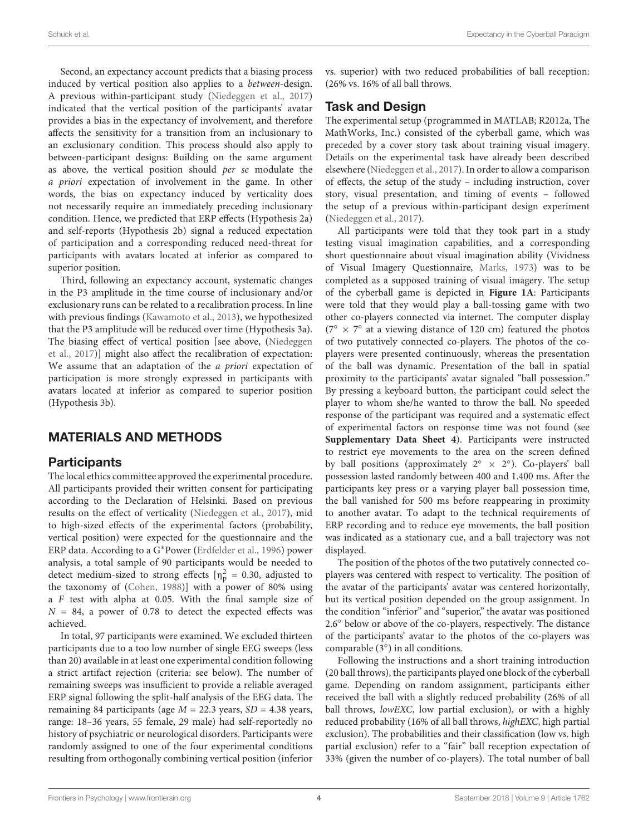Second, an expectancy account predicts that a biasing process induced by vertical position also applies to a between-design. A previous within-participant study [\(Niedeggen et al.,](#page-10-7) [2017\)](#page-10-7) indicated that the vertical position of the participants' avatar provides a bias in the expectancy of involvement, and therefore affects the sensitivity for a transition from an inclusionary to an exclusionary condition. This process should also apply to between-participant designs: Building on the same argument as above, the vertical position should per se modulate the a priori expectation of involvement in the game. In other words, the bias on expectancy induced by verticality does not necessarily require an immediately preceding inclusionary condition. Hence, we predicted that ERP effects (Hypothesis 2a) and self-reports (Hypothesis 2b) signal a reduced expectation of participation and a corresponding reduced need-threat for participants with avatars located at inferior as compared to superior position.

Third, following an expectancy account, systematic changes in the P3 amplitude in the time course of inclusionary and/or exclusionary runs can be related to a recalibration process. In line with previous findings [\(Kawamoto et al.,](#page-10-16) [2013\)](#page-10-16), we hypothesized that the P3 amplitude will be reduced over time (Hypothesis 3a). The biasing effect of vertical position [see above, [\(Niedeggen](#page-10-7) [et al.,](#page-10-7) [2017\)](#page-10-7)] might also affect the recalibration of expectation: We assume that an adaptation of the a priori expectation of participation is more strongly expressed in participants with avatars located at inferior as compared to superior position (Hypothesis 3b).

# MATERIALS AND METHODS

## **Participants**

The local ethics committee approved the experimental procedure. All participants provided their written consent for participating according to the Declaration of Helsinki. Based on previous results on the effect of verticality [\(Niedeggen et al.,](#page-10-7) [2017\)](#page-10-7), mid to high-sized effects of the experimental factors (probability, vertical position) were expected for the questionnaire and the ERP data. According to a G∗Power [\(Erdfelder et al.,](#page-10-17) [1996\)](#page-10-17) power analysis, a total sample of 90 participants would be needed to detect medium-sized to strong effects  $\lceil \eta_p^2 \rceil = 0.30$ , adjusted to the taxonomy of [\(Cohen,](#page-10-18) [1988\)](#page-10-18)] with a power of 80% using a F test with alpha at 0.05. With the final sample size of  $N = 84$ , a power of 0.78 to detect the expected effects was achieved.

In total, 97 participants were examined. We excluded thirteen participants due to a too low number of single EEG sweeps (less than 20) available in at least one experimental condition following a strict artifact rejection (criteria: see below). The number of remaining sweeps was insufficient to provide a reliable averaged ERP signal following the split-half analysis of the EEG data. The remaining 84 participants (age  $M = 22.3$  years,  $SD = 4.38$  years, range: 18–36 years, 55 female, 29 male) had self-reportedly no history of psychiatric or neurological disorders. Participants were randomly assigned to one of the four experimental conditions resulting from orthogonally combining vertical position (inferior

vs. superior) with two reduced probabilities of ball reception: (26% vs. 16% of all ball throws.

## Task and Design

The experimental setup (programmed in MATLAB; R2012a, The MathWorks, Inc.) consisted of the cyberball game, which was preceded by a cover story task about training visual imagery. Details on the experimental task have already been described elsewhere [\(Niedeggen et al.,](#page-10-7) [2017\)](#page-10-7). In order to allow a comparison of effects, the setup of the study – including instruction, cover story, visual presentation, and timing of events – followed the setup of a previous within-participant design experiment [\(Niedeggen et al.,](#page-10-7) [2017\)](#page-10-7).

All participants were told that they took part in a study testing visual imagination capabilities, and a corresponding short questionnaire about visual imagination ability (Vividness of Visual Imagery Questionnaire, [Marks,](#page-10-19) [1973\)](#page-10-19) was to be completed as a supposed training of visual imagery. The setup of the cyberball game is depicted in **[Figure 1A](#page-1-0)**: Participants were told that they would play a ball-tossing game with two other co-players connected via internet. The computer display (7<sup>°</sup> × 7<sup>°</sup> at a viewing distance of 120 cm) featured the photos of two putatively connected co-players. The photos of the coplayers were presented continuously, whereas the presentation of the ball was dynamic. Presentation of the ball in spatial proximity to the participants' avatar signaled "ball possession." By pressing a keyboard button, the participant could select the player to whom she/he wanted to throw the ball. No speeded response of the participant was required and a systematic effect of experimental factors on response time was not found (see **[Supplementary Data Sheet 4](#page-10-20)**). Participants were instructed to restrict eye movements to the area on the screen defined by ball positions (approximately  $2^\circ \times 2^\circ$ ). Co-players' ball possession lasted randomly between 400 and 1.400 ms. After the participants key press or a varying player ball possession time, the ball vanished for 500 ms before reappearing in proximity to another avatar. To adapt to the technical requirements of ERP recording and to reduce eye movements, the ball position was indicated as a stationary cue, and a ball trajectory was not displayed.

The position of the photos of the two putatively connected coplayers was centered with respect to verticality. The position of the avatar of the participants' avatar was centered horizontally, but its vertical position depended on the group assignment. In the condition "inferior" and "superior," the avatar was positioned 2.6◦ below or above of the co-players, respectively. The distance of the participants' avatar to the photos of the co-players was comparable (3◦ ) in all conditions.

Following the instructions and a short training introduction (20 ball throws), the participants played one block of the cyberball game. Depending on random assignment, participants either received the ball with a slightly reduced probability (26% of all ball throws, lowEXC, low partial exclusion), or with a highly reduced probability (16% of all ball throws, highEXC, high partial exclusion). The probabilities and their classification (low vs. high partial exclusion) refer to a "fair" ball reception expectation of 33% (given the number of co-players). The total number of ball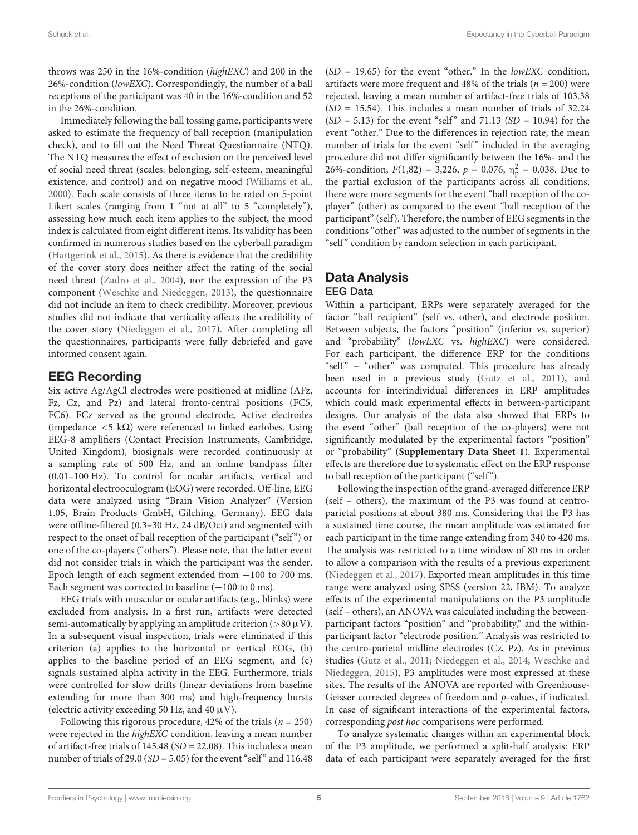throws was 250 in the 16%-condition (highEXC) and 200 in the 26%-condition (lowEXC). Correspondingly, the number of a ball receptions of the participant was 40 in the 16%-condition and 52 in the 26%-condition.

Immediately following the ball tossing game, participants were asked to estimate the frequency of ball reception (manipulation check), and to fill out the Need Threat Questionnaire (NTQ). The NTQ measures the effect of exclusion on the perceived level of social need threat (scales: belonging, self-esteem, meaningful existence, and control) and on negative mood [\(Williams et al.,](#page-11-1) [2000\)](#page-11-1). Each scale consists of three items to be rated on 5-point Likert scales (ranging from 1 "not at all" to 5 "completely"), assessing how much each item applies to the subject, the mood index is calculated from eight different items. Its validity has been confirmed in numerous studies based on the cyberball paradigm [\(Hartgerink et al.,](#page-10-1) [2015\)](#page-10-1). As there is evidence that the credibility of the cover story does neither affect the rating of the social need threat [\(Zadro et al.,](#page-11-2) [2004\)](#page-11-2), nor the expression of the P3 component [\(Weschke and Niedeggen,](#page-11-7) [2013\)](#page-11-7), the questionnaire did not include an item to check credibility. Moreover, previous studies did not indicate that verticality affects the credibility of the cover story [\(Niedeggen et al.,](#page-10-7) [2017\)](#page-10-7). After completing all the questionnaires, participants were fully debriefed and gave informed consent again.

#### EEG Recording

Six active Ag/AgCl electrodes were positioned at midline (AFz, Fz, Cz, and Pz) and lateral fronto-central positions (FC5, FC6). FCz served as the ground electrode, Active electrodes (impedance  $\langle 5 \text{ k}\Omega \rangle$  were referenced to linked earlobes. Using EEG-8 amplifiers (Contact Precision Instruments, Cambridge, United Kingdom), biosignals were recorded continuously at a sampling rate of 500 Hz, and an online bandpass filter (0.01–100 Hz). To control for ocular artifacts, vertical and horizontal electrooculogram (EOG) were recorded. Off-line, EEG data were analyzed using "Brain Vision Analyzer" (Version 1.05, Brain Products GmbH, Gilching, Germany). EEG data were offline-filtered (0.3–30 Hz, 24 dB/Oct) and segmented with respect to the onset of ball reception of the participant ("self") or one of the co-players ("others"). Please note, that the latter event did not consider trials in which the participant was the sender. Epoch length of each segment extended from −100 to 700 ms. Each segment was corrected to baseline  $(-100 \text{ to } 0 \text{ ms})$ .

EEG trials with muscular or ocular artifacts (e.g., blinks) were excluded from analysis. In a first run, artifacts were detected semi-automatically by applying an amplitude criterion ( $>80 \mu V$ ). In a subsequent visual inspection, trials were eliminated if this criterion (a) applies to the horizontal or vertical EOG, (b) applies to the baseline period of an EEG segment, and (c) signals sustained alpha activity in the EEG. Furthermore, trials were controlled for slow drifts (linear deviations from baseline extending for more than 300 ms) and high-frequency bursts (electric activity exceeding 50 Hz, and 40  $\mu$ V).

Following this rigorous procedure, 42% of the trials ( $n = 250$ ) were rejected in the *highEXC* condition, leaving a mean number of artifact-free trials of 145.48 (SD = 22.08). This includes a mean number of trials of 29.0 ( $SD = 5.05$ ) for the event "self" and 116.48

 $(SD = 19.65)$  for the event "other." In the lowEXC condition, artifacts were more frequent and 48% of the trials ( $n = 200$ ) were rejected, leaving a mean number of artifact-free trials of 103.38  $(SD = 15.54)$ . This includes a mean number of trials of 32.24  $(SD = 5.13)$  for the event "self" and 71.13  $(SD = 10.94)$  for the event "other." Due to the differences in rejection rate, the mean number of trials for the event "self" included in the averaging procedure did not differ significantly between the 16%- and the 26%-condition,  $F(1,82) = 3,226$ ,  $p = 0.076$ ,  $\eta_p^2 = 0.038$ . Due to the partial exclusion of the participants across all conditions, there were more segments for the event "ball reception of the coplayer" (other) as compared to the event "ball reception of the participant" (self). Therefore, the number of EEG segments in the conditions "other" was adjusted to the number of segments in the "self" condition by random selection in each participant.

# Data Analysis

#### EEG Data

Within a participant, ERPs were separately averaged for the factor "ball recipient" (self vs. other), and electrode position. Between subjects, the factors "position" (inferior vs. superior) and "probability" (lowEXC vs. highEXC) were considered. For each participant, the difference ERP for the conditions "self" - "other" was computed. This procedure has already been used in a previous study [\(Gutz et al.,](#page-10-8) [2011\)](#page-10-8), and accounts for interindividual differences in ERP amplitudes which could mask experimental effects in between-participant designs. Our analysis of the data also showed that ERPs to the event "other" (ball reception of the co-players) were not significantly modulated by the experimental factors "position" or "probability" (**[Supplementary Data Sheet 1](#page-10-20)**). Experimental effects are therefore due to systematic effect on the ERP response to ball reception of the participant ("self").

Following the inspection of the grand-averaged difference ERP (self – others), the maximum of the P3 was found at centroparietal positions at about 380 ms. Considering that the P3 has a sustained time course, the mean amplitude was estimated for each participant in the time range extending from 340 to 420 ms. The analysis was restricted to a time window of 80 ms in order to allow a comparison with the results of a previous experiment [\(Niedeggen et al.,](#page-10-7) [2017\)](#page-10-7). Exported mean amplitudes in this time range were analyzed using SPSS (version 22, IBM). To analyze effects of the experimental manipulations on the P3 amplitude (self – others), an ANOVA was calculated including the betweenparticipant factors "position" and "probability," and the withinparticipant factor "electrode position." Analysis was restricted to the centro-parietal midline electrodes (Cz, Pz). As in previous studies [\(Gutz et al.,](#page-10-8) [2011;](#page-10-8) [Niedeggen et al.,](#page-10-21) [2014;](#page-10-21) [Weschke and](#page-11-8) [Niedeggen,](#page-11-8) [2015\)](#page-11-8), P3 amplitudes were most expressed at these sites. The results of the ANOVA are reported with Greenhouse-Geisser corrected degrees of freedom and p-values, if indicated. In case of significant interactions of the experimental factors, corresponding post hoc comparisons were performed.

To analyze systematic changes within an experimental block of the P3 amplitude, we performed a split-half analysis: ERP data of each participant were separately averaged for the first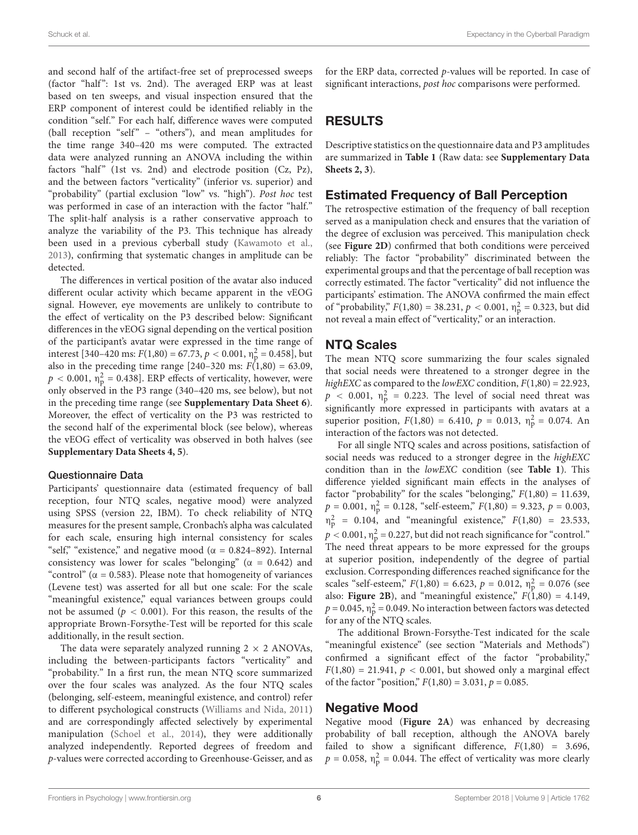and second half of the artifact-free set of preprocessed sweeps (factor "half": 1st vs. 2nd). The averaged ERP was at least based on ten sweeps, and visual inspection ensured that the ERP component of interest could be identified reliably in the condition "self." For each half, difference waves were computed (ball reception "self" - "others"), and mean amplitudes for the time range 340–420 ms were computed. The extracted data were analyzed running an ANOVA including the within factors "half" (1st vs. 2nd) and electrode position  $(Cz, Pz)$ , and the between factors "verticality" (inferior vs. superior) and "probability" (partial exclusion "low" vs. "high"). Post hoc test was performed in case of an interaction with the factor "half." The split-half analysis is a rather conservative approach to analyze the variability of the P3. This technique has already been used in a previous cyberball study [\(Kawamoto et al.,](#page-10-16) [2013\)](#page-10-16), confirming that systematic changes in amplitude can be detected.

The differences in vertical position of the avatar also induced different ocular activity which became apparent in the vEOG signal. However, eye movements are unlikely to contribute to the effect of verticality on the P3 described below: Significant differences in the vEOG signal depending on the vertical position of the participant's avatar were expressed in the time range of interest [340–420 ms:  $F(1,80) = 67.73$ ,  $p < 0.001$ ,  $\eta_{\rm p}^2 = 0.458$ ], but also in the preceding time range  $[240-320 \text{ ms}: F(1,80) = 63.09$ ,  $p < 0.001$ ,  $\eta_{\rm p}^2 = 0.438$ ]. ERP effects of verticality, however, were only observed in the P3 range (340–420 ms, see below), but not in the preceding time range (see **[Supplementary Data Sheet 6](#page-10-20)**). Moreover, the effect of verticality on the P3 was restricted to the second half of the experimental block (see below), whereas the vEOG effect of verticality was observed in both halves (see **[Supplementary Data Sheets 4, 5](#page-10-20)**).

#### Questionnaire Data

Participants' questionnaire data (estimated frequency of ball reception, four NTQ scales, negative mood) were analyzed using SPSS (version 22, IBM). To check reliability of NTQ measures for the present sample, Cronbach's alpha was calculated for each scale, ensuring high internal consistency for scales "self," "existence," and negative mood ( $\alpha = 0.824 - 892$ ). Internal consistency was lower for scales "belonging" ( $\alpha$  = 0.642) and "control" ( $\alpha$  = 0.583). Please note that homogeneity of variances (Levene test) was asserted for all but one scale: For the scale "meaningful existence," equal variances between groups could not be assumed ( $p < 0.001$ ). For this reason, the results of the appropriate Brown-Forsythe-Test will be reported for this scale additionally, in the result section.

The data were separately analyzed running  $2 \times 2$  ANOVAs, including the between-participants factors "verticality" and "probability." In a first run, the mean NTQ score summarized over the four scales was analyzed. As the four NTQ scales (belonging, self-esteem, meaningful existence, and control) refer to different psychological constructs [\(Williams and Nida,](#page-11-12) [2011\)](#page-11-12) and are correspondingly affected selectively by experimental manipulation [\(Schoel et al.,](#page-11-11) [2014\)](#page-11-11), they were additionally analyzed independently. Reported degrees of freedom and p-values were corrected according to Greenhouse-Geisser, and as for the ERP data, corrected p-values will be reported. In case of significant interactions, post hoc comparisons were performed.

# RESULTS

Descriptive statistics on the questionnaire data and P3 amplitudes are summarized in **[Table 1](#page-6-0)** (Raw data: see **[Supplementary Data](#page-10-20) [Sheets 2, 3](#page-10-20)**).

## Estimated Frequency of Ball Perception

The retrospective estimation of the frequency of ball reception served as a manipulation check and ensures that the variation of the degree of exclusion was perceived. This manipulation check (see **[Figure 2D](#page-6-1)**) confirmed that both conditions were perceived reliably: The factor "probability" discriminated between the experimental groups and that the percentage of ball reception was correctly estimated. The factor "verticality" did not influence the participants' estimation. The ANOVA confirmed the main effect of "probability,"  $F(1,80) = 38.231$ ,  $p < 0.001$ ,  $\eta_p^2 = 0.323$ , but did not reveal a main effect of "verticality," or an interaction.

#### NTQ Scales

The mean NTQ score summarizing the four scales signaled that social needs were threatened to a stronger degree in the highEXC as compared to the lowEXC condition,  $F(1,80) = 22.923$ ,  $p$  < 0.001,  $\eta_p^2$  = 0.223. The level of social need threat was significantly more expressed in participants with avatars at a superior position,  $F(1,80) = 6.410$ ,  $p = 0.013$ ,  $\eta_p^2 = 0.074$ . An interaction of the factors was not detected.

For all single NTQ scales and across positions, satisfaction of social needs was reduced to a stronger degree in the highEXC condition than in the lowEXC condition (see **[Table 1](#page-6-0)**). This difference yielded significant main effects in the analyses of factor "probability" for the scales "belonging,"  $F(1,80) = 11.639$ ,  $p = 0.001$ ,  $\eta_p^2 = 0.128$ , "self-esteem,"  $F(1,80) = 9.323$ ,  $p = 0.003$ ,  $\eta_p^2 = 0.104$ , and "meaningful existence,"  $F(1,80) = 23.533$ ,  $p < 0.001$ ,  $\eta_{\rm p}^2$  = 0.227, but did not reach significance for "control." The need threat appears to be more expressed for the groups at superior position, independently of the degree of partial exclusion. Corresponding differences reached significance for the scales "self-esteem,"  $F(1,80) = 6.623$ ,  $p = 0.012$ ,  $\eta_p^2 = 0.076$  (see also: **[Figure 2B](#page-6-1)**), and "meaningful existence,"  $F(1,80) = 4.149$ ,  $p = 0.045$ ,  $\eta_{\rm p}^2 = 0.049$ . No interaction between factors was detected for any of the NTQ scales.

The additional Brown-Forsythe-Test indicated for the scale "meaningful existence" (see section "Materials and Methods") confirmed a significant effect of the factor "probability,"  $F(1,80) = 21.941$ ,  $p < 0.001$ , but showed only a marginal effect of the factor "position,"  $F(1,80) = 3.031$ ,  $p = 0.085$ .

#### Negative Mood

Negative mood (**[Figure 2A](#page-6-1)**) was enhanced by decreasing probability of ball reception, although the ANOVA barely failed to show a significant difference,  $F(1,80) = 3.696$ ,  $p = 0.058$ ,  $\eta_{\rm p}^2 = 0.044$ . The effect of verticality was more clearly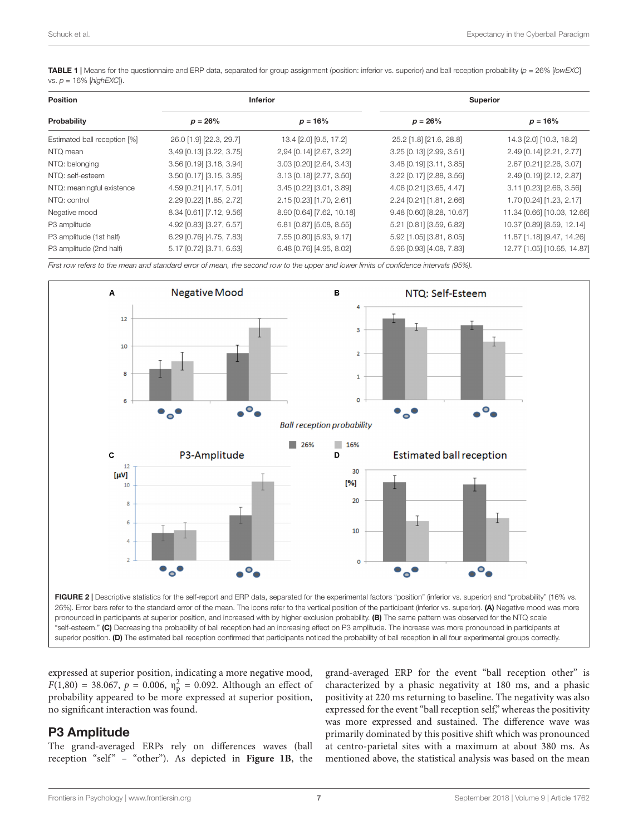<span id="page-6-0"></span>TABLE 1 | Means for the questionnaire and ERP data, separated for group assignment (position: inferior vs. superior) and ball reception probability (p = 26% [lowEXC] vs.  $p = 16\%$  [highEXC]).

| <b>Position</b><br>Probability | <b>Inferior</b>          |                           | <b>Superior</b>           |                             |
|--------------------------------|--------------------------|---------------------------|---------------------------|-----------------------------|
|                                | $p = 26\%$               | $p = 16%$                 | $p = 26\%$                | $p = 16%$                   |
| Estimated ball reception [%]   | 26.0 [1.9] [22.3, 29.7]  | 13.4 [2.0] [9.5, 17.2]    | 25.2 [1.8] [21.6, 28.8]   | 14.3 [2.0] [10.3, 18.2]     |
| NTQ mean                       | 3,49 [0.13] [3.22, 3.75] | 2,94 [0.14] [2.67, 3.22]  | 3.25 [0.13] [2.99, 3.51]  | 2.49 [0.14] [2.21, 2.77]    |
| NTQ: belonging                 | 3.56 [0.19] [3.18, 3.94] | 3.03 [0.20] [2.64, 3.43]  | 3.48 [0.19] [3.11, 3.85]  | 2.67 [0.21] [2.26, 3.07]    |
| NTQ: self-esteem               | 3.50 [0.17] [3.15, 3.85] | 3.13 [0.18] [2.77, 3.50]  | 3.22 [0.17] [2.88, 3.56]  | 2.49 [0.19] [2.12, 2.87]    |
| NTQ: meaningful existence      | 4.59 [0.21] [4.17, 5.01] | 3.45 [0.22] [3.01, 3.89]  | 4.06 [0.21] [3.65, 4.47]  | 3.11 [0.23] [2.66, 3.56]    |
| NTQ: control                   | 2.29 [0.22] [1.85, 2.72] | 2.15 [0.23] [1.70, 2.61]  | 2.24 [0.21] [1.81, 2.66]  | 1.70 [0.24] [1.23, 2.17]    |
| Negative mood                  | 8.34 [0.61] [7.12, 9.56] | 8.90 [0.64] [7.62, 10.18] | 9.48 [0.60] [8.28, 10.67] | 11.34 [0.66] [10.03, 12.66] |
| P3 amplitude                   | 4.92 [0.83] [3.27, 6.57] | 6.81 [0.87] [5.08, 8.55]  | 5.21 [0.81] [3.59, 6.82]  | 10.37 [0.89] [8.59, 12.14]  |
| P3 amplitude (1st half)        | 6.29 [0.76] [4.75, 7.83] | 7.55 [0.80] [5.93, 9.17]  | 5.92 [1.05] [3.81, 8.05]  | 11.87 [1.18] [9.47, 14.26]  |
| P3 amplitude (2nd half)        | 5.17 [0.72] [3.71, 6.63] | 6.48 [0.76] [4.95, 8.02]  | 5.96 [0.93] [4.08, 7.83]  | 12.77 [1.05] [10.65, 14.87] |

First row refers to the mean and standard error of mean, the second row to the upper and lower limits of confidence intervals (95%).



<span id="page-6-1"></span>expressed at superior position, indicating a more negative mood,  $F(1,80) = 38.067$ ,  $p = 0.006$ ,  $\eta_{p}^{2} = 0.092$ . Although an effect of probability appeared to be more expressed at superior position, no significant interaction was found.

## P3 Amplitude

The grand-averaged ERPs rely on differences waves (ball reception "self" – "other"). As depicted in [Figure 1B](#page-1-0), the grand-averaged ERP for the event "ball reception other" is characterized by a phasic negativity at 180 ms, and a phasic positivity at 220 ms returning to baseline. The negativity was also expressed for the event "ball reception self," whereas the positivity was more expressed and sustained. The difference wave was primarily dominated by this positive shift which was pronounced at centro-parietal sites with a maximum at about 380 ms. As mentioned above, the statistical analysis was based on the mean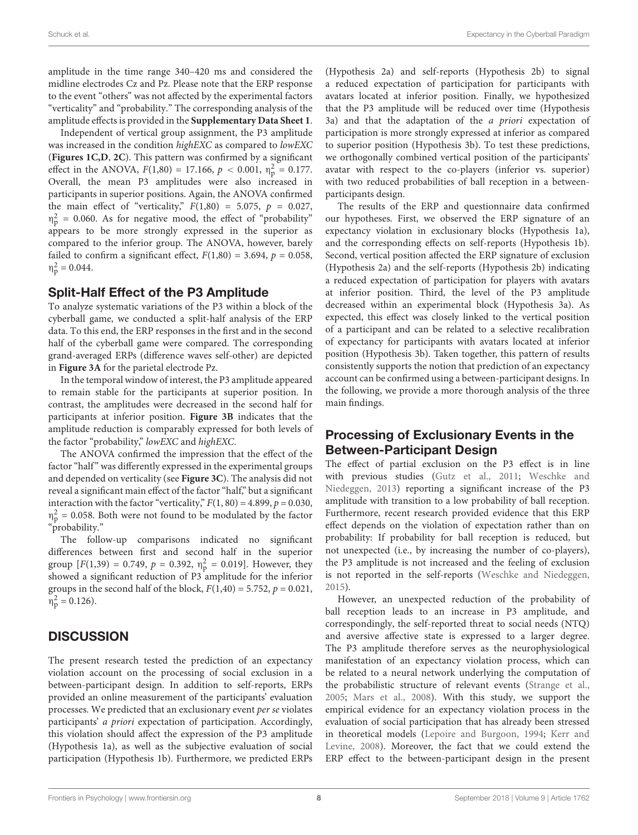amplitude in the time range 340–420 ms and considered the midline electrodes Cz and Pz. Please note that the ERP response to the event "others" was not affected by the experimental factors "verticality" and "probability." The corresponding analysis of the amplitude effects is provided in the **[Supplementary Data Sheet 1](#page-10-20)**.

Independent of vertical group assignment, the P3 amplitude was increased in the condition highEXC as compared to lowEXC (**[Figures 1C,D](#page-1-0)**, **[2C](#page-6-1)**). This pattern was confirmed by a significant effect in the ANOVA,  $F(1,80) = 17.166$ ,  $p < 0.001$ ,  $\eta_p^2 = 0.177$ . Overall, the mean P3 amplitudes were also increased in participants in superior positions. Again, the ANOVA confirmed the main effect of "verticality,"  $F(1,80) = 5.075$ ,  $p = 0.027$ ,  $\eta_p^2$  = 0.060. As for negative mood, the effect of "probability" appears to be more strongly expressed in the superior as compared to the inferior group. The ANOVA, however, barely failed to confirm a significant effect,  $F(1,80) = 3.694$ ,  $p = 0.058$ ,  $\eta_p^2 = 0.044.$ 

#### Split-Half Effect of the P3 Amplitude

To analyze systematic variations of the P3 within a block of the cyberball game, we conducted a split-half analysis of the ERP data. To this end, the ERP responses in the first and in the second half of the cyberball game were compared. The corresponding grand-averaged ERPs (difference waves self-other) are depicted in **[Figure 3A](#page-8-0)** for the parietal electrode Pz.

In the temporal window of interest, the P3 amplitude appeared to remain stable for the participants at superior position. In contrast, the amplitudes were decreased in the second half for participants at inferior position. **[Figure 3B](#page-8-0)** indicates that the amplitude reduction is comparably expressed for both levels of the factor "probability," lowEXC and highEXC.

The ANOVA confirmed the impression that the effect of the factor "half" was differently expressed in the experimental groups and depended on verticality (see **[Figure 3C](#page-8-0)**). The analysis did not reveal a significant main effect of the factor "half," but a significant interaction with the factor "verticality,"  $F(1, 80) = 4.899$ ,  $p = 0.030$ ,  $\eta_p^2$  = 0.058. Both were not found to be modulated by the factor "probability."

The follow-up comparisons indicated no significant differences between first and second half in the superior group  $[F(1,39) = 0.749, p = 0.392, \eta_p^2 = 0.019]$ . However, they showed a significant reduction of P3 amplitude for the inferior groups in the second half of the block,  $F(1,40) = 5.752$ ,  $p = 0.021$ ,  $\eta_p^2 = 0.126$ ).

## **DISCUSSION**

The present research tested the prediction of an expectancy violation account on the processing of social exclusion in a between-participant design. In addition to self-reports, ERPs provided an online measurement of the participants' evaluation processes. We predicted that an exclusionary event per se violates participants' a priori expectation of participation. Accordingly, this violation should affect the expression of the P3 amplitude (Hypothesis 1a), as well as the subjective evaluation of social participation (Hypothesis 1b). Furthermore, we predicted ERPs

(Hypothesis 2a) and self-reports (Hypothesis 2b) to signal a reduced expectation of participation for participants with avatars located at inferior position. Finally, we hypothesized that the P3 amplitude will be reduced over time (Hypothesis 3a) and that the adaptation of the a priori expectation of participation is more strongly expressed at inferior as compared to superior position (Hypothesis 3b). To test these predictions, we orthogonally combined vertical position of the participants' avatar with respect to the co-players (inferior vs. superior) with two reduced probabilities of ball reception in a betweenparticipants design.

The results of the ERP and questionnaire data confirmed our hypotheses. First, we observed the ERP signature of an expectancy violation in exclusionary blocks (Hypothesis 1a), and the corresponding effects on self-reports (Hypothesis 1b). Second, vertical position affected the ERP signature of exclusion (Hypothesis 2a) and the self-reports (Hypothesis 2b) indicating a reduced expectation of participation for players with avatars at inferior position. Third, the level of the P3 amplitude decreased within an experimental block (Hypothesis 3a). As expected, this effect was closely linked to the vertical position of a participant and can be related to a selective recalibration of expectancy for participants with avatars located at inferior position (Hypothesis 3b). Taken together, this pattern of results consistently supports the notion that prediction of an expectancy account can be confirmed using a between-participant designs. In the following, we provide a more thorough analysis of the three main findings.

## Processing of Exclusionary Events in the Between-Participant Design

The effect of partial exclusion on the P3 effect is in line with previous studies [\(Gutz et al.,](#page-10-8) [2011;](#page-10-8) [Weschke and](#page-11-7) [Niedeggen,](#page-11-7) [2013\)](#page-11-7) reporting a significant increase of the P3 amplitude with transition to a low probability of ball reception. Furthermore, recent research provided evidence that this ERP effect depends on the violation of expectation rather than on probability: If probability for ball reception is reduced, but not unexpected (i.e., by increasing the number of co-players), the P3 amplitude is not increased and the feeling of exclusion is not reported in the self-reports [\(Weschke and Niedeggen,](#page-11-8) [2015\)](#page-11-8).

However, an unexpected reduction of the probability of ball reception leads to an increase in P3 amplitude, and correspondingly, the self-reported threat to social needs (NTQ) and aversive affective state is expressed to a larger degree. The P3 amplitude therefore serves as the neurophysiological manifestation of an expectancy violation process, which can be related to a neural network underlying the computation of the probabilistic structure of relevant events [\(Strange et al.,](#page-11-13) [2005;](#page-11-13) [Mars et al.,](#page-10-22) [2008\)](#page-10-22). With this study, we support the empirical evidence for an expectancy violation process in the evaluation of social participation that has already been stressed in theoretical models [\(Lepoire and Burgoon,](#page-10-23) [1994;](#page-10-23) [Kerr and](#page-10-14) [Levine,](#page-10-14) [2008\)](#page-10-14). Moreover, the fact that we could extend the ERP effect to the between-participant design in the present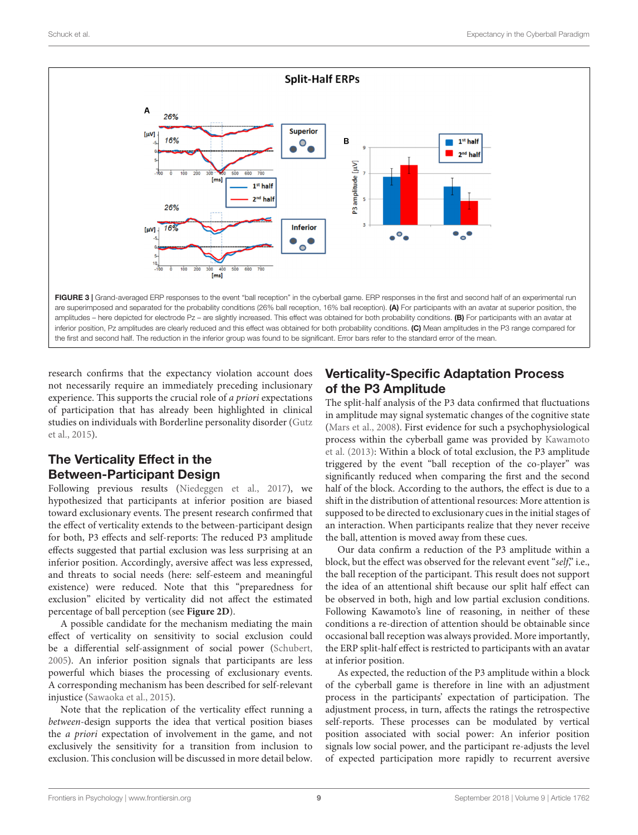

<span id="page-8-0"></span>research confirms that the expectancy violation account does not necessarily require an immediately preceding inclusionary experience. This supports the crucial role of a priori expectations of participation that has already been highlighted in clinical studies on individuals with Borderline personality disorder [\(Gutz](#page-10-24) [et al.,](#page-10-24) [2015\)](#page-10-24).

# The Verticality Effect in the Between-Participant Design

Following previous results [\(Niedeggen et al.,](#page-10-7) [2017\)](#page-10-7), we hypothesized that participants at inferior position are biased toward exclusionary events. The present research confirmed that the effect of verticality extends to the between-participant design for both, P3 effects and self-reports: The reduced P3 amplitude effects suggested that partial exclusion was less surprising at an inferior position. Accordingly, aversive affect was less expressed, and threats to social needs (here: self-esteem and meaningful existence) were reduced. Note that this "preparedness for exclusion" elicited by verticality did not affect the estimated percentage of ball perception (see **[Figure 2D](#page-6-1)**).

A possible candidate for the mechanism mediating the main effect of verticality on sensitivity to social exclusion could be a differential self-assignment of social power [\(Schubert,](#page-11-10) [2005\)](#page-11-10). An inferior position signals that participants are less powerful which biases the processing of exclusionary events. A corresponding mechanism has been described for self-relevant injustice [\(Sawaoka et al.,](#page-10-25) [2015\)](#page-10-25).

Note that the replication of the verticality effect running a between-design supports the idea that vertical position biases the a priori expectation of involvement in the game, and not exclusively the sensitivity for a transition from inclusion to exclusion. This conclusion will be discussed in more detail below.

# Verticality-Specific Adaptation Process of the P3 Amplitude

The split-half analysis of the P3 data confirmed that fluctuations in amplitude may signal systematic changes of the cognitive state [\(Mars et al.,](#page-10-22) [2008\)](#page-10-22). First evidence for such a psychophysiological process within the cyberball game was provided by [Kawamoto](#page-10-16) [et al.](#page-10-16) [\(2013\)](#page-10-16): Within a block of total exclusion, the P3 amplitude triggered by the event "ball reception of the co-player" was significantly reduced when comparing the first and the second half of the block. According to the authors, the effect is due to a shift in the distribution of attentional resources: More attention is supposed to be directed to exclusionary cues in the initial stages of an interaction. When participants realize that they never receive the ball, attention is moved away from these cues.

Our data confirm a reduction of the P3 amplitude within a block, but the effect was observed for the relevant event "self," i.e., the ball reception of the participant. This result does not support the idea of an attentional shift because our split half effect can be observed in both, high and low partial exclusion conditions. Following Kawamoto's line of reasoning, in neither of these conditions a re-direction of attention should be obtainable since occasional ball reception was always provided. More importantly, the ERP split-half effect is restricted to participants with an avatar at inferior position.

As expected, the reduction of the P3 amplitude within a block of the cyberball game is therefore in line with an adjustment process in the participants' expectation of participation. The adjustment process, in turn, affects the ratings the retrospective self-reports. These processes can be modulated by vertical position associated with social power: An inferior position signals low social power, and the participant re-adjusts the level of expected participation more rapidly to recurrent aversive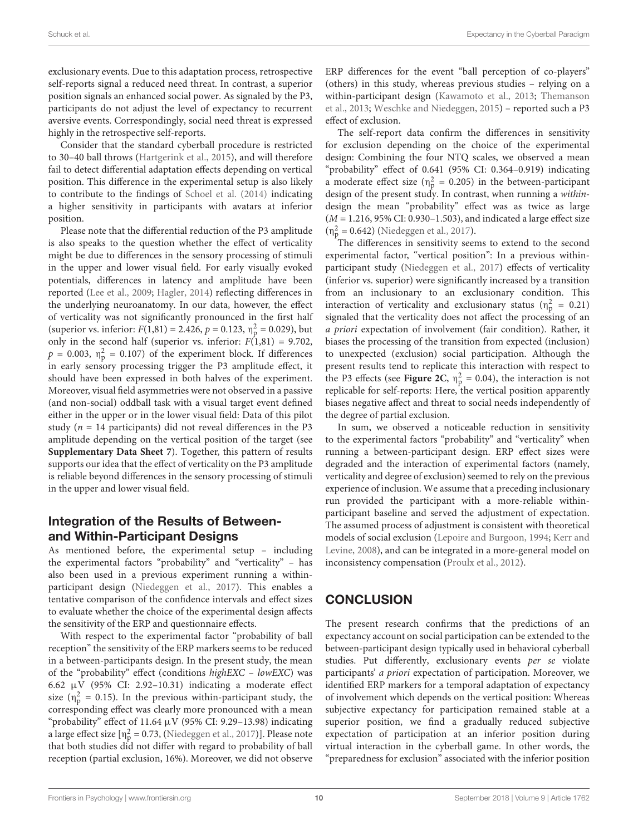exclusionary events. Due to this adaptation process, retrospective self-reports signal a reduced need threat. In contrast, a superior position signals an enhanced social power. As signaled by the P3, participants do not adjust the level of expectancy to recurrent aversive events. Correspondingly, social need threat is expressed highly in the retrospective self-reports.

Consider that the standard cyberball procedure is restricted to 30–40 ball throws [\(Hartgerink et al.,](#page-10-1) [2015\)](#page-10-1), and will therefore fail to detect differential adaptation effects depending on vertical position. This difference in the experimental setup is also likely to contribute to the findings of [Schoel et al.](#page-11-11) [\(2014\)](#page-11-11) indicating a higher sensitivity in participants with avatars at inferior position.

Please note that the differential reduction of the P3 amplitude is also speaks to the question whether the effect of verticality might be due to differences in the sensory processing of stimuli in the upper and lower visual field. For early visually evoked potentials, differences in latency and amplitude have been reported [\(Lee et al.,](#page-10-26) [2009;](#page-10-26) [Hagler,](#page-10-27) [2014\)](#page-10-27) reflecting differences in the underlying neuroanatomy. In our data, however, the effect of verticality was not significantly pronounced in the first half (superior vs. inferior:  $F(1,81) = 2.426$ ,  $p = 0.123$ ,  $\eta_p^2 = 0.029$ ), but only in the second half (superior vs. inferior:  $F(1,81) = 9.702$ ,  $p = 0.003$ ,  $\eta_p^2 = 0.107$ ) of the experiment block. If differences in early sensory processing trigger the P3 amplitude effect, it should have been expressed in both halves of the experiment. Moreover, visual field asymmetries were not observed in a passive (and non-social) oddball task with a visual target event defined either in the upper or in the lower visual field: Data of this pilot study ( $n = 14$  participants) did not reveal differences in the P3 amplitude depending on the vertical position of the target (see **[Supplementary Data Sheet 7](#page-10-20)**). Together, this pattern of results supports our idea that the effect of verticality on the P3 amplitude is reliable beyond differences in the sensory processing of stimuli in the upper and lower visual field.

# Integration of the Results of Betweenand Within-Participant Designs

As mentioned before, the experimental setup – including the experimental factors "probability" and "verticality" – has also been used in a previous experiment running a withinparticipant design [\(Niedeggen et al.,](#page-10-7) [2017\)](#page-10-7). This enables a tentative comparison of the confidence intervals and effect sizes to evaluate whether the choice of the experimental design affects the sensitivity of the ERP and questionnaire effects.

With respect to the experimental factor "probability of ball reception" the sensitivity of the ERP markers seems to be reduced in a between-participants design. In the present study, the mean of the "probability" effect (conditions highEXC – lowEXC) was 6.62 µV (95% CI: 2.92–10.31) indicating a moderate effect size ( $\eta_p^2 = 0.15$ ). In the previous within-participant study, the corresponding effect was clearly more pronounced with a mean "probability" effect of 11.64  $\mu$ V (95% CI: 9.29-13.98) indicating a large effect size  $[n_p^2 = 0.73$ , [\(Niedeggen et al.,](#page-10-7) [2017\)](#page-10-7)]. Please note that both studies did not differ with regard to probability of ball reception (partial exclusion, 16%). Moreover, we did not observe

ERP differences for the event "ball perception of co-players" (others) in this study, whereas previous studies – relying on a within-participant design [\(Kawamoto et al.,](#page-10-16) [2013;](#page-10-16) [Themanson](#page-11-14) [et al.,](#page-11-14) [2013;](#page-11-14) [Weschke and Niedeggen,](#page-11-8) [2015\)](#page-11-8) – reported such a P3 effect of exclusion.

The self-report data confirm the differences in sensitivity for exclusion depending on the choice of the experimental design: Combining the four NTQ scales, we observed a mean "probability" effect of 0.641 (95% CI: 0.364–0.919) indicating a moderate effect size ( $\eta_p^2 = 0.205$ ) in the between-participant design of the present study. In contrast, when running a withindesign the mean "probability" effect was as twice as large  $(M = 1.216, 95\% \text{ CI: } 0.930-1.503)$ , and indicated a large effect size  $(n_p^2 = 0.642)$  [\(Niedeggen et al.,](#page-10-7) [2017\)](#page-10-7).

The differences in sensitivity seems to extend to the second experimental factor, "vertical position": In a previous withinparticipant study [\(Niedeggen et al.,](#page-10-7) [2017\)](#page-10-7) effects of verticality (inferior vs. superior) were significantly increased by a transition from an inclusionary to an exclusionary condition. This interaction of verticality and exclusionary status ( $\eta_p^2 = 0.21$ ) signaled that the verticality does not affect the processing of an a priori expectation of involvement (fair condition). Rather, it biases the processing of the transition from expected (inclusion) to unexpected (exclusion) social participation. Although the present results tend to replicate this interaction with respect to the P3 effects (see **[Figure 2C](#page-6-1)**,  $\eta_p^2 = 0.04$ ), the interaction is not replicable for self-reports: Here, the vertical position apparently biases negative affect and threat to social needs independently of the degree of partial exclusion.

In sum, we observed a noticeable reduction in sensitivity to the experimental factors "probability" and "verticality" when running a between-participant design. ERP effect sizes were degraded and the interaction of experimental factors (namely, verticality and degree of exclusion) seemed to rely on the previous experience of inclusion. We assume that a preceding inclusionary run provided the participant with a more-reliable withinparticipant baseline and served the adjustment of expectation. The assumed process of adjustment is consistent with theoretical models of social exclusion [\(Lepoire and Burgoon,](#page-10-23) [1994;](#page-10-23) [Kerr and](#page-10-14) [Levine,](#page-10-14) [2008\)](#page-10-14), and can be integrated in a more-general model on inconsistency compensation [\(Proulx et al.,](#page-10-15) [2012\)](#page-10-15).

# **CONCLUSION**

The present research confirms that the predictions of an expectancy account on social participation can be extended to the between-participant design typically used in behavioral cyberball studies. Put differently, exclusionary events per se violate participants' a priori expectation of participation. Moreover, we identified ERP markers for a temporal adaptation of expectancy of involvement which depends on the vertical position: Whereas subjective expectancy for participation remained stable at a superior position, we find a gradually reduced subjective expectation of participation at an inferior position during virtual interaction in the cyberball game. In other words, the "preparedness for exclusion" associated with the inferior position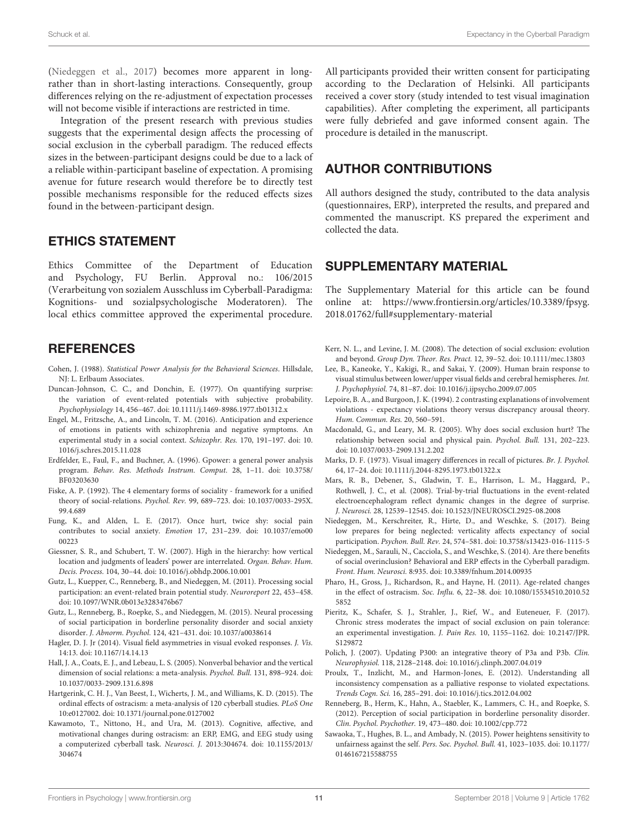[\(Niedeggen et al.,](#page-10-7) [2017\)](#page-10-7) becomes more apparent in longrather than in short-lasting interactions. Consequently, group differences relying on the re-adjustment of expectation processes will not become visible if interactions are restricted in time.

Integration of the present research with previous studies suggests that the experimental design affects the processing of social exclusion in the cyberball paradigm. The reduced effects sizes in the between-participant designs could be due to a lack of a reliable within-participant baseline of expectation. A promising avenue for future research would therefore be to directly test possible mechanisms responsible for the reduced effects sizes found in the between-participant design.

# ETHICS STATEMENT

Ethics Committee of the Department of Education and Psychology, FU Berlin. Approval no.: 106/2015 (Verarbeitung von sozialem Ausschluss im Cyberball-Paradigma: Kognitions- und sozialpsychologische Moderatoren). The local ethics committee approved the experimental procedure.

# **REFERENCES**

- <span id="page-10-18"></span>Cohen, J. (1988). Statistical Power Analysis for the Behavioral Sciences. Hillsdale, NJ: L. Erlbaum Associates.
- <span id="page-10-10"></span>Duncan-Johnson, C. C., and Donchin, E. (1977). On quantifying surprise: the variation of event-related potentials with subjective probability. Psychophysiology 14, 456–467. [doi: 10.1111/j.1469-8986.1977.tb01312.x](https://doi.org/10.1111/j.1469-8986.1977.tb01312.x)
- <span id="page-10-3"></span>Engel, M., Fritzsche, A., and Lincoln, T. M. (2016). Anticipation and experience of emotions in patients with schizophrenia and negative symptoms. An experimental study in a social context. Schizophr. Res. 170, 191–197. [doi: 10.](https://doi.org/10.1016/j.schres.2015.11.028) [1016/j.schres.2015.11.028](https://doi.org/10.1016/j.schres.2015.11.028)
- <span id="page-10-17"></span>Erdfelder, E., Faul, F., and Buchner, A. (1996). Gpower: a general power analysis program. Behav. Res. Methods Instrum. Comput. 28, 1–11. [doi: 10.3758/](https://doi.org/10.3758/BF03203630) [BF03203630](https://doi.org/10.3758/BF03203630)
- <span id="page-10-12"></span>Fiske, A. P. (1992). The 4 elementary forms of sociality - framework for a unified theory of social-relations. Psychol. Rev. 99, 689–723. [doi: 10.1037/0033-295X.](https://doi.org/10.1037/0033-295X.99.4.689) [99.4.689](https://doi.org/10.1037/0033-295X.99.4.689)
- <span id="page-10-4"></span>Fung, K., and Alden, L. E. (2017). Once hurt, twice shy: social pain contributes to social anxiety. Emotion 17, 231–239. [doi: 10.1037/emo00](https://doi.org/10.1037/emo0000223) [00223](https://doi.org/10.1037/emo0000223)
- <span id="page-10-13"></span>Giessner, S. R., and Schubert, T. W. (2007). High in the hierarchy: how vertical location and judgments of leaders' power are interrelated. Organ. Behav. Hum. Decis. Process. 104, 30–44. [doi: 10.1016/j.obhdp.2006.10.001](https://doi.org/10.1016/j.obhdp.2006.10.001)
- <span id="page-10-8"></span>Gutz, L., Kuepper, C., Renneberg, B., and Niedeggen, M. (2011). Processing social participation: an event-related brain potential study. Neuroreport 22, 453–458. [doi: 10.1097/WNR.0b013e3283476b67](https://doi.org/10.1097/WNR.0b013e3283476b67)
- <span id="page-10-24"></span>Gutz, L., Renneberg, B., Roepke, S., and Niedeggen, M. (2015). Neural processing of social participation in borderline personality disorder and social anxiety disorder. J. Abnorm. Psychol. 124, 421–431. [doi: 10.1037/a0038614](https://doi.org/10.1037/a0038614)
- <span id="page-10-27"></span>Hagler, D. J. Jr (2014). Visual field asymmetries in visual evoked responses. J. Vis. 14:13. [doi: 10.1167/14.14.13](https://doi.org/10.1167/14.14.13)
- <span id="page-10-11"></span>Hall, J. A., Coats, E. J., and Lebeau, L. S. (2005). Nonverbal behavior and the vertical dimension of social relations: a meta-analysis. Psychol. Bull. 131, 898–924. [doi:](https://doi.org/10.1037/0033-2909.131.6.898) [10.1037/0033-2909.131.6.898](https://doi.org/10.1037/0033-2909.131.6.898)
- <span id="page-10-1"></span>Hartgerink, C. H. J., Van Beest, I., Wicherts, J. M., and Williams, K. D. (2015). The ordinal effects of ostracism: a meta-analysis of 120 cyberball studies. PLoS One 10:e0127002. [doi: 10.1371/journal.pone.0127002](https://doi.org/10.1371/journal.pone.0127002)
- <span id="page-10-16"></span>Kawamoto, T., Nittono, H., and Ura, M. (2013). Cognitive, affective, and motivational changes during ostracism: an ERP, EMG, and EEG study using a computerized cyberball task. Neurosci. J. 2013:304674. [doi: 10.1155/2013/](https://doi.org/10.1155/2013/304674) [304674](https://doi.org/10.1155/2013/304674)

All participants provided their written consent for participating according to the Declaration of Helsinki. All participants received a cover story (study intended to test visual imagination capabilities). After completing the experiment, all participants were fully debriefed and gave informed consent again. The procedure is detailed in the manuscript.

# AUTHOR CONTRIBUTIONS

All authors designed the study, contributed to the data analysis (questionnaires, ERP), interpreted the results, and prepared and commented the manuscript. KS prepared the experiment and collected the data.

## <span id="page-10-20"></span>SUPPLEMENTARY MATERIAL

The Supplementary Material for this article can be found online at: [https://www.frontiersin.org/articles/10.3389/fpsyg.](https://www.frontiersin.org/articles/10.3389/fpsyg.2018.01762/full#supplementary-material) [2018.01762/full#supplementary-material](https://www.frontiersin.org/articles/10.3389/fpsyg.2018.01762/full#supplementary-material)

- <span id="page-10-14"></span>Kerr, N. L., and Levine, J. M. (2008). The detection of social exclusion: evolution and beyond. Group Dyn. Theor. Res. Pract. 12, 39–52. [doi: 10.1111/mec.13803](https://doi.org/10.1111/mec.13803)
- <span id="page-10-26"></span>Lee, B., Kaneoke, Y., Kakigi, R., and Sakai, Y. (2009). Human brain response to visual stimulus between lower/upper visual fields and cerebral hemispheres. Int. J. Psychophysiol. 74, 81–87. [doi: 10.1016/j.ijpsycho.2009.07.005](https://doi.org/10.1016/j.ijpsycho.2009.07.005)
- <span id="page-10-23"></span>Lepoire, B. A., and Burgoon, J. K. (1994). 2 contrasting explanations of involvement violations - expectancy violations theory versus discrepancy arousal theory. Hum. Commun. Res. 20, 560–591.
- <span id="page-10-0"></span>Macdonald, G., and Leary, M. R. (2005). Why does social exclusion hurt? The relationship between social and physical pain. Psychol. Bull. 131, 202–223. [doi: 10.1037/0033-2909.131.2.202](https://doi.org/10.1037/0033-2909.131.2.202)
- <span id="page-10-19"></span>Marks, D. F. (1973). Visual imagery differences in recall of pictures. Br. J. Psychol. 64, 17–24. [doi: 10.1111/j.2044-8295.1973.tb01322.x](https://doi.org/10.1111/j.2044-8295.1973.tb01322.x)
- <span id="page-10-22"></span>Mars, R. B., Debener, S., Gladwin, T. E., Harrison, L. M., Haggard, P., Rothwell, J. C., et al. (2008). Trial-by-trial fluctuations in the event-related electroencephalogram reflect dynamic changes in the degree of surprise. J. Neurosci. 28, 12539–12545. [doi: 10.1523/JNEUROSCI.2925-08.2008](https://doi.org/10.1523/JNEUROSCI.2925-08.2008)
- <span id="page-10-7"></span>Niedeggen, M., Kerschreiter, R., Hirte, D., and Weschke, S. (2017). Being low prepares for being neglected: verticality affects expectancy of social participation. Psychon. Bull. Rev. 24, 574–581. [doi: 10.3758/s13423-016-1115-5](https://doi.org/10.3758/s13423-016-1115-5)
- <span id="page-10-21"></span>Niedeggen, M., Sarauli, N., Cacciola, S., and Weschke, S. (2014). Are there benefits of social overinclusion? Behavioral and ERP effects in the Cyberball paradigm. Front. Hum. Neurosci. 8:935. [doi: 10.3389/fnhum.2014.00935](https://doi.org/10.3389/fnhum.2014.00935)
- <span id="page-10-5"></span>Pharo, H., Gross, J., Richardson, R., and Hayne, H. (2011). Age-related changes in the effect of ostracism. Soc. Influ. 6, 22–38. [doi: 10.1080/15534510.2010.52](https://doi.org/10.1080/15534510.2010.525852) [5852](https://doi.org/10.1080/15534510.2010.525852)
- <span id="page-10-6"></span>Pieritz, K., Schafer, S. J., Strahler, J., Rief, W., and Euteneuer, F. (2017). Chronic stress moderates the impact of social exclusion on pain tolerance: an experimental investigation. J. Pain Res. 10, 1155–1162. [doi: 10.2147/JPR.](https://doi.org/10.2147/JPR.S129872) [S129872](https://doi.org/10.2147/JPR.S129872)
- <span id="page-10-9"></span>Polich, J. (2007). Updating P300: an integrative theory of P3a and P3b. Clin. Neurophysiol. 118, 2128–2148. [doi: 10.1016/j.clinph.2007.04.019](https://doi.org/10.1016/j.clinph.2007.04.019)
- <span id="page-10-15"></span>Proulx, T., Inzlicht, M., and Harmon-Jones, E. (2012). Understanding all inconsistency compensation as a palliative response to violated expectations. Trends Cogn. Sci. 16, 285–291. [doi: 10.1016/j.tics.2012.04.002](https://doi.org/10.1016/j.tics.2012.04.002)
- <span id="page-10-2"></span>Renneberg, B., Herm, K., Hahn, A., Staebler, K., Lammers, C. H., and Roepke, S. (2012). Perception of social participation in borderline personality disorder. Clin. Psychol. Psychother. 19, 473–480. [doi: 10.1002/cpp.772](https://doi.org/10.1002/cpp.772)
- <span id="page-10-25"></span>Sawaoka, T., Hughes, B. L., and Ambady, N. (2015). Power heightens sensitivity to unfairness against the self. Pers. Soc. Psychol. Bull. 41, 1023–1035. [doi: 10.1177/](https://doi.org/10.1177/0146167215588755) [0146167215588755](https://doi.org/10.1177/0146167215588755)